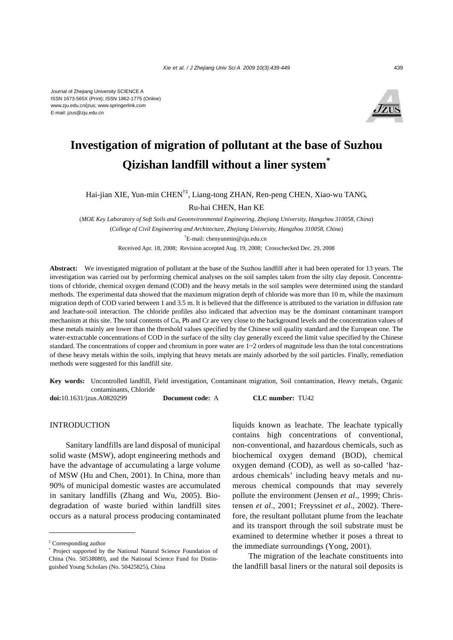

# **Investigation of migration of pollutant at the base of Suzhou Qizishan landfill without a liner system\***

Hai-jian XIE, Yun-min CHEN†‡, Liang-tong ZHAN, Ren-peng CHEN, Xiao-wu TANG,

Ru-hai CHEN, Han KE

(*MOE Key Laboratory of Soft Soils and Geoenvironmental Engineering, Zhejiang University, Hangzhou 310058, China*) (*College of Civil Engineering and Architecture, Zhejiang University, Hangzhou 310058, China*) † E-mail: chenyunmin@zju.edu.cn Received Apr. 18, 2008; Revision accepted Aug. 19, 2008; Crosschecked Dec. 29, 2008

**Abstract:** We investigated migration of pollutant at the base of the Suzhou landfill after it had been operated for 13 years. The investigation was carried out by performing chemical analyses on the soil samples taken from the silty clay deposit. Concentrations of chloride, chemical oxygen demand (COD) and the heavy metals in the soil samples were determined using the standard methods. The experimental data showed that the maximum migration depth of chloride was more than 10 m, while the maximum migration depth of COD varied between 1 and 3.5 m. It is believed that the difference is attributed to the variation in diffusion rate and leachate-soil interaction. The chloride profiles also indicated that advection may be the dominant contaminant transport mechanism at this site. The total contents of Cu, Pb and Cr are very close to the background levels and the concentration values of these metals mainly are lower than the threshold values specified by the Chinese soil quality standard and the European one. The water-extractable concentrations of COD in the surface of the silty clay generally exceed the limit value specified by the Chinese standard. The concentrations of copper and chromium in pore water are  $1~2$  orders of magnitude less than the total concentrations of these heavy metals within the soils, implying that heavy metals are mainly adsorbed by the soil particles. Finally, remediation methods were suggested for this landfill site.

**Key words:** Uncontrolled landfill, Field investigation, Contaminant migration, Soil contamination, Heavy metals, Organic contaminants, Chloride

**doi:**10.1631/jzus.A0820299 **Document code:** A **CLC number:** TU42

## **INTRODUCTION**

Sanitary landfills are land disposal of municipal solid waste (MSW), adopt engineering methods and have the advantage of accumulating a large volume of MSW (Hu and Chen, 2001). In China, more than 90% of municipal domestic wastes are accumulated in sanitary landfills (Zhang and Wu, 2005). Biodegradation of waste buried within landfill sites occurs as a natural process producing contaminated

liquids known as leachate. The leachate typically contains high concentrations of conventional, non-conventional, and hazardous chemicals, such as biochemical oxygen demand (BOD), chemical oxygen demand (COD), as well as so-called 'hazardous chemicals' including heavy metals and numerous chemical compounds that may severely pollute the environment (Jensen *et al*., 1999; Christensen *et al*., 2001; Freyssinet *et al*., 2002). Therefore, the resultant pollutant plume from the leachate and its transport through the soil substrate must be examined to determine whether it poses a threat to the immediate surroundings (Yong, 2001).

The migration of the leachate constituents into the landfill basal liners or the natural soil deposits is

<sup>‡</sup> Corresponding author

<sup>\*</sup> Project supported by the National Natural Science Foundation of China (No. 50538080), and the National Science Fund for Distinguished Young Scholars (No. 50425825), China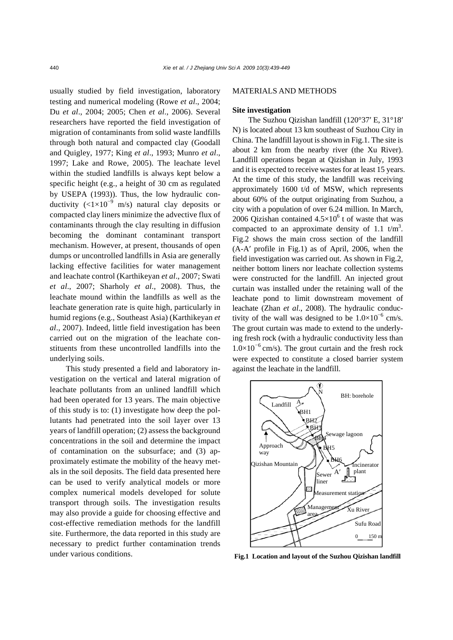usually studied by field investigation, laboratory testing and numerical modeling (Rowe *et al*., 2004; Du *et al*., 2004; 2005; Chen *et al*., 2006). Several researchers have reported the field investigation of migration of contaminants from solid waste landfills through both natural and compacted clay (Goodall and Quigley, 1977; King *et al*., 1993; Munro *et al*., 1997; Lake and Rowe, 2005). The leachate level within the studied landfills is always kept below a specific height (e.g., a height of 30 cm as regulated by USEPA (1993)). Thus, the low hydraulic conductivity  $\left(\frac{1}{10^{-9}} \text{ m/s}\right)$  natural clay deposits or compacted clay liners minimize the advective flux of contaminants through the clay resulting in diffusion becoming the dominant contaminant transport mechanism. However, at present, thousands of open dumps or uncontrolled landfills in Asia are generally lacking effective facilities for water management and leachate control (Karthikeyan *et al*., 2007; Swati *et al*., 2007; Sharholy *et al*., 2008). Thus, the leachate mound within the landfills as well as the leachate generation rate is quite high, particularly in humid regions (e.g., Southeast Asia) (Karthikeyan *et al*., 2007). Indeed, little field investigation has been carried out on the migration of the leachate constituents from these uncontrolled landfills into the underlying soils.

This study presented a field and laboratory investigation on the vertical and lateral migration of leachate pollutants from an unlined landfill which had been operated for 13 years. The main objective of this study is to: (1) investigate how deep the pollutants had penetrated into the soil layer over 13 years of landfill operation; (2) assess the background concentrations in the soil and determine the impact of contamination on the subsurface; and (3) approximately estimate the mobility of the heavy metals in the soil deposits. The field data presented here can be used to verify analytical models or more complex numerical models developed for solute transport through soils. The investigation results may also provide a guide for choosing effective and cost-effective remediation methods for the landfill site. Furthermore, the data reported in this study are necessary to predict further contamination trends under various conditions.

#### MATERIALS AND METHODS

#### **Site investigation**

The Suzhou Qizishan landfill (120°37′ E, 31°18′ N) is located about 13 km southeast of Suzhou City in China. The landfill layout is shown in Fig.1. The site is about 2 km from the nearby river (the Xu River). Landfill operations began at Qizishan in July, 1993 and it is expected to receive wastes for at least 15 years. At the time of this study, the landfill was receiving approximately 1600 t/d of MSW, which represents about 60% of the output originating from Suzhou, a city with a population of over 6.24 million. In March, 2006 Qizishan contained  $4.5 \times 10^6$  t of waste that was compacted to an approximate density of 1.1  $t/m<sup>3</sup>$ . Fig.2 shows the main cross section of the landfill (A-A′ profile in Fig.1) as of April, 2006, when the field investigation was carried out. As shown in Fig.2, neither bottom liners nor leachate collection systems were constructed for the landfill. An injected grout curtain was installed under the retaining wall of the leachate pond to limit downstream movement of leachate (Zhan *et al*., 2008). The hydraulic conductivity of the wall was designed to be  $1.0 \times 10^{-6}$  cm/s. The grout curtain was made to extend to the underlying fresh rock (with a hydraulic conductivity less than  $1.0\times10^{-6}$  cm/s). The grout curtain and the fresh rock were expected to constitute a closed barrier system against the leachate in the landfill.



**Fig.1 Location and layout of the Suzhou Qizishan landfill**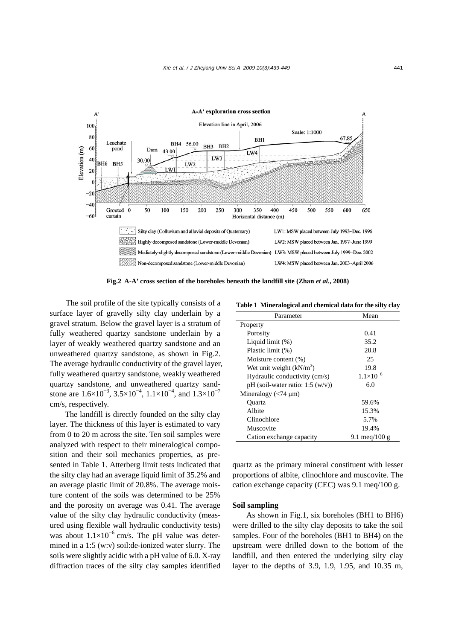

**Fig.2 A-A′ cross section of the boreholes beneath the landfill site (Zhan** *et al***., 2008)** 

 The soil profile of the site typically consists of a surface layer of gravelly silty clay underlain by a gravel stratum. Below the gravel layer is a stratum of fully weathered quartzy sandstone underlain by a layer of weakly weathered quartzy sandstone and an unweathered quartzy sandstone, as shown in Fig.2. The average hydraulic conductivity of the gravel layer, fully weathered quartzy sandstone, weakly weathered quartzy sandstone, and unweathered quartzy sandstone are  $1.6\times10^{-3}$ ,  $3.5\times10^{-4}$ ,  $1.1\times10^{-4}$ , and  $1.3\times10^{-7}$ cm/s, respectively.

The landfill is directly founded on the silty clay layer. The thickness of this layer is estimated to vary from 0 to 20 m across the site. Ten soil samples were analyzed with respect to their mineralogical composition and their soil mechanics properties, as presented in Table 1. Atterberg limit tests indicated that the silty clay had an average liquid limit of 35.2% and an average plastic limit of 20.8%. The average moisture content of the soils was determined to be 25% and the porosity on average was 0.41. The average value of the silty clay hydraulic conductivity (measured using flexible wall hydraulic conductivity tests) was about  $1.1\times10^{-6}$  cm/s. The pH value was determined in a 1:5 (w:v) soil:de-ionized water slurry. The soils were slightly acidic with a pH value of 6.0. X-ray diffraction traces of the silty clay samples identified

**Table 1 Mineralogical and chemical data for the silty clay**

| Parameter                                   | Mean               |  |  |
|---------------------------------------------|--------------------|--|--|
| Property                                    |                    |  |  |
| Porosity                                    | 0.41               |  |  |
| Liquid limit $(\%)$                         | 35.2               |  |  |
| Plastic limit (%)                           | 20.8               |  |  |
| Moisture content (%)                        | 25                 |  |  |
| Wet unit weight $(kN/m3)$                   | 19.8               |  |  |
| Hydraulic conductivity (cm/s)               | $1.1\times10^{-6}$ |  |  |
| pH (soil-water ratio: $1:5 \text{ (w/v)}$ ) | 6.0                |  |  |
| Mineralogy $(< 74 \mu m)$                   |                    |  |  |
| Ouartz                                      | 59.6%              |  |  |
| Albite                                      | 15.3%              |  |  |
| Clinochlore                                 | 5.7%               |  |  |
| Muscovite                                   | 19.4%              |  |  |
| Cation exchange capacity                    | 9.1 meg/100 g      |  |  |

quartz as the primary mineral constituent with lesser proportions of albite, clinochlore and muscovite. The cation exchange capacity (CEC) was 9.1 meq/100 g.

#### **Soil sampling**

As shown in Fig.1, six boreholes (BH1 to BH6) were drilled to the silty clay deposits to take the soil samples. Four of the boreholes (BH1 to BH4) on the upstream were drilled down to the bottom of the landfill, and then entered the underlying silty clay layer to the depths of 3.9, 1.9, 1.95, and 10.35 m,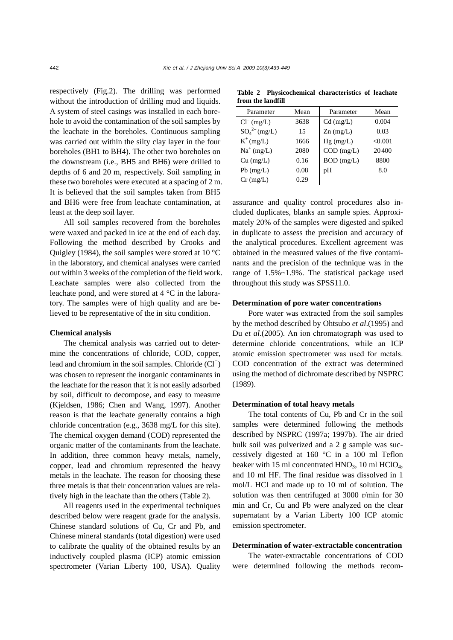respectively (Fig.2). The drilling was performed without the introduction of drilling mud and liquids. A system of steel casings was installed in each borehole to avoid the contamination of the soil samples by the leachate in the boreholes. Continuous sampling was carried out within the silty clay layer in the four boreholes (BH1 to BH4). The other two boreholes on the downstream (i.e., BH5 and BH6) were drilled to depths of 6 and 20 m, respectively. Soil sampling in these two boreholes were executed at a spacing of 2 m. It is believed that the soil samples taken from BH5 and BH6 were free from leachate contamination, at least at the deep soil layer.

All soil samples recovered from the boreholes were waxed and packed in ice at the end of each day. Following the method described by Crooks and Quigley (1984), the soil samples were stored at  $10^{\circ}$ C in the laboratory, and chemical analyses were carried out within 3 weeks of the completion of the field work. Leachate samples were also collected from the leachate pond, and were stored at 4 °C in the laboratory. The samples were of high quality and are believed to be representative of the in situ condition.

#### **Chemical analysis**

The chemical analysis was carried out to determine the concentrations of chloride, COD, copper, lead and chromium in the soil samples. Chloride (Cl ⊤) was chosen to represent the inorganic contaminants in the leachate for the reason that it is not easily adsorbed by soil, difficult to decompose, and easy to measure (Kjeldsen, 1986; Chen and Wang, 1997). Another reason is that the leachate generally contains a high chloride concentration (e.g., 3638 mg/L for this site). The chemical oxygen demand (COD) represented the organic matter of the contaminants from the leachate. In addition, three common heavy metals, namely, copper, lead and chromium represented the heavy metals in the leachate. The reason for choosing these three metals is that their concentration values are relatively high in the leachate than the others (Table 2).

All reagents used in the experimental techniques described below were reagent grade for the analysis. Chinese standard solutions of Cu, Cr and Pb, and Chinese mineral standards (total digestion) were used to calibrate the quality of the obtained results by an inductively coupled plasma (ICP) atomic emission spectrometer (Varian Liberty 100, USA). Quality

**Table 2 Physicochemical characteristics of leachate from the landfill**

| Parameter          | Mean | Parameter    | Mean    |
|--------------------|------|--------------|---------|
| $Cl^{-}$ (mg/L)    | 3638 | $Cd$ (mg/L)  | 0.004   |
| $SO_4^{2-}$ (mg/L) | 15   | $Zn$ (mg/L)  | 0.03    |
| $K^+(mg/L)$        | 1666 | $Hg$ (mg/L)  | < 0.001 |
| $Na^+(mg/L)$       | 2080 | $COD$ (mg/L) | 20400   |
| $Cu$ (mg/L)        | 0.16 | $BOD$ (mg/L) | 8800    |
| $Pb$ (mg/L)        | 0.08 | pН           | 8.0     |
| $Cr$ (mg/L)        | 0.29 |              |         |

assurance and quality control procedures also included duplicates, blanks an sample spies. Approximately 20% of the samples were digested and spiked in duplicate to assess the precision and accuracy of the analytical procedures. Excellent agreement was obtained in the measured values of the five contaminants and the precision of the technique was in the range of 1.5%~1.9%. The statistical package used throughout this study was SPSS11.0.

## **Determination of pore water concentrations**

Pore water was extracted from the soil samples by the method described by Ohtsubo *et al*.(1995) and Du *et al*.(2005). An ion chromatograph was used to determine chloride concentrations, while an ICP atomic emission spectrometer was used for metals. COD concentration of the extract was determined using the method of dichromate described by NSPRC (1989).

#### **Determination of total heavy metals**

The total contents of Cu, Pb and Cr in the soil samples were determined following the methods described by NSPRC (1997a; 1997b). The air dried bulk soil was pulverized and a 2 g sample was successively digested at 160 °C in a 100 ml Teflon beaker with 15 ml concentrated  $HNO<sub>3</sub>$ , 10 ml  $HClO<sub>4</sub>$ , and 10 ml HF. The final residue was dissolved in 1 mol/L HCl and made up to 10 ml of solution. The solution was then centrifuged at 3000 r/min for 30 min and Cr, Cu and Pb were analyzed on the clear supernatant by a Varian Liberty 100 ICP atomic emission spectrometer.

#### **Determination of water-extractable concentration**

The water-extractable concentrations of COD were determined following the methods recom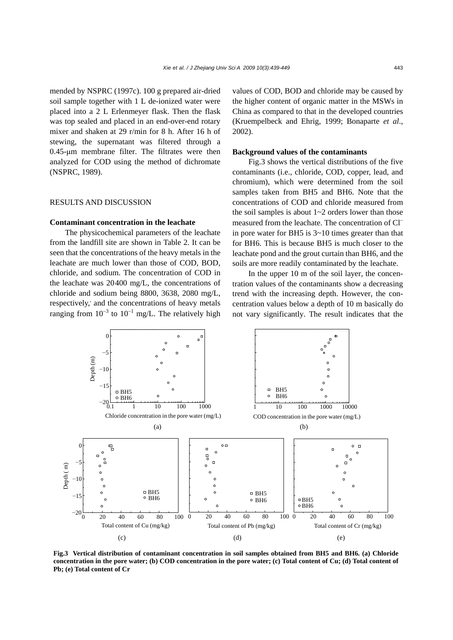mended by NSPRC (1997c). 100 g prepared air-dried soil sample together with 1 L de-ionized water were placed into a 2 L Erlenmeyer flask. Then the flask was top sealed and placed in an end-over-end rotary mixer and shaken at 29 r/min for 8 h. After 16 h of stewing, the supernatant was filtered through a 0.45-μm membrane filter. The filtrates were then analyzed for COD using the method of dichromate (NSPRC, 1989).

#### RESULTS AND DISCUSSION

## **Contaminant concentration in the leachate**

The physicochemical parameters of the leachate from the landfill site are shown in Table 2. It can be seen that the concentrations of the heavy metals in the leachate are much lower than those of COD, BOD, chloride, and sodium. The concentration of COD in the leachate was 20400 mg/L, the concentrations of chloride and sodium being 8800, 3638, 2080 mg/L, respectively, and the concentrations of heavy metals ranging from  $10^{-3}$  to  $10^{-1}$  mg/L. The relatively high values of COD, BOD and chloride may be caused by the higher content of organic matter in the MSWs in China as compared to that in the developed countries (Kruempelbeck and Ehrig, 1999; Bonaparte *et al*., 2002).

#### **Background values of the contaminants**

Fig.3 shows the vertical distributions of the five contaminants (i.e., chloride, COD, copper, lead, and chromium), which were determined from the soil samples taken from BH5 and BH6. Note that the concentrations of COD and chloride measured from the soil samples is about  $1~2$  orders lower than those measured from the leachate. The concentration of Cl<sup>−</sup> in pore water for BH5 is 3~10 times greater than that for BH6. This is because BH5 is much closer to the leachate pond and the grout curtain than BH6, and the soils are more readily contaminated by the leachate.

In the upper 10 m of the soil layer, the concentration values of the contaminants show a decreasing trend with the increasing depth. However, the concentration values below a depth of 10 m basically do not vary significantly. The result indicates that the



**Fig.3 Vertical distribution of contaminant concentration in soil samples obtained from BH5 and BH6. (a) Chloride concentration in the pore water; (b) COD concentration in the pore water; (c) Total content of Cu; (d) Total content of Pb; (e) Total content of Cr**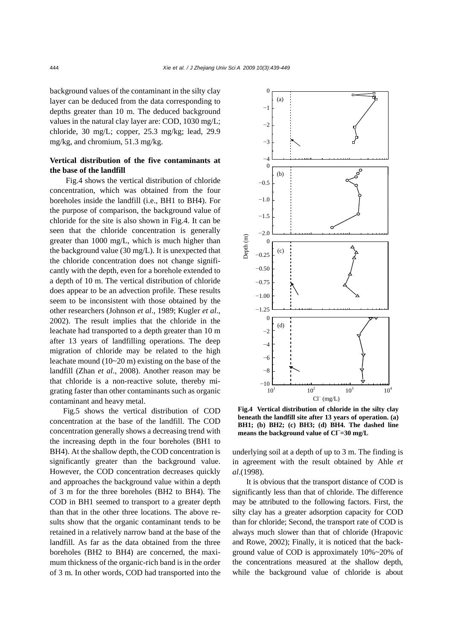background values of the contaminant in the silty clay layer can be deduced from the data corresponding to depths greater than 10 m. The deduced background values in the natural clay layer are: COD, 1030 mg/L; chloride, 30 mg/L; copper, 25.3 mg/kg; lead, 29.9 mg/kg, and chromium, 51.3 mg/kg.

# **Vertical distribution of the five contaminants at the base of the landfill**

Fig.4 shows the vertical distribution of chloride concentration, which was obtained from the four boreholes inside the landfill (i.e., BH1 to BH4). For the purpose of comparison, the background value of chloride for the site is also shown in Fig.4. It can be seen that the chloride concentration is generally greater than 1000 mg/L, which is much higher than the background value (30 mg/L). It is unexpected that the chloride concentration does not change significantly with the depth, even for a borehole extended to a depth of 10 m. The vertical distribution of chloride does appear to be an advection profile. These results seem to be inconsistent with those obtained by the other researchers (Johnson *et al*., 1989; Kugler *et al*., 2002). The result implies that the chloride in the leachate had transported to a depth greater than 10 m after 13 years of landfilling operations. The deep migration of chloride may be related to the high leachate mound (10~20 m) existing on the base of the landfill (Zhan *et al*., 2008). Another reason may be that chloride is a non-reactive solute, thereby migrating faster than other contaminants such as organic contaminant and heavy metal.

Fig.5 shows the vertical distribution of COD concentration at the base of the landfill. The COD concentration generally shows a decreasing trend with the increasing depth in the four boreholes (BH1 to BH4). At the shallow depth, the COD concentration is significantly greater than the background value. However, the COD concentration decreases quickly and approaches the background value within a depth of 3 m for the three boreholes (BH2 to BH4). The COD in BH1 seemed to transport to a greater depth than that in the other three locations. The above results show that the organic contaminant tends to be retained in a relatively narrow band at the base of the landfill. As far as the data obtained from the three boreholes (BH2 to BH4) are concerned, the maximum thickness of the organic-rich band is in the order of 3 m. In other words, COD had transported into the



**Fig.4 Vertical distribution of chloride in the silty clay beneath the landfill site after 13 years of operation. (a) BH1; (b) BH2; (c) BH3; (d) BH4. The dashed line means the background value of Cl<sup>−</sup> =30 mg/L** 

underlying soil at a depth of up to 3 m. The finding is in agreement with the result obtained by Ahle *et al*.(1998).

It is obvious that the transport distance of COD is significantly less than that of chloride. The difference may be attributed to the following factors. First, the silty clay has a greater adsorption capacity for COD than for chloride; Second, the transport rate of COD is always much slower than that of chloride (Hrapovic and Rowe, 2002); Finally, it is noticed that the background value of COD is approximately 10%~20% of the concentrations measured at the shallow depth, while the background value of chloride is about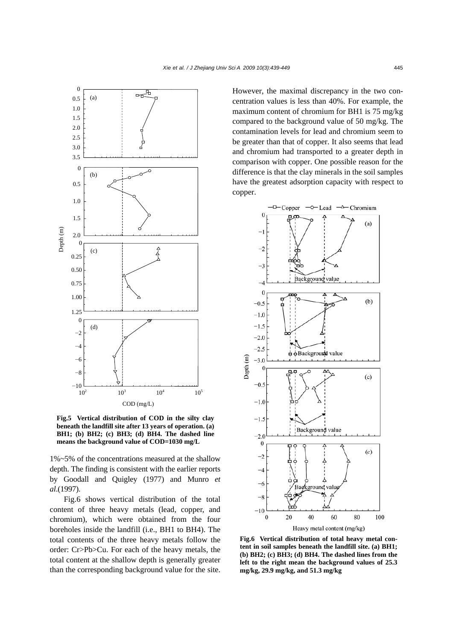

**Fig.5 Vertical distribution of COD in the silty clay beneath the landfill site after 13 years of operation. (a) BH1; (b) BH2; (c) BH3; (d) BH4. The dashed line**

1%~5% of the concentrations measured at the shallow depth. The finding is consistent with the earlier reports by Goodall and Quigley (1977) and Munro *et al*.(1997).

Fig.6 shows vertical distribution of the total content of three heavy metals (lead, copper, and chromium), which were obtained from the four boreholes inside the landfill (i.e., BH1 to BH4). The total contents of the three heavy metals follow the order: Cr>Pb>Cu. For each of the heavy metals, the total content at the shallow depth is generally greater than the corresponding background value for the site. However, the maximal discrepancy in the two concentration values is less than 40%. For example, the maximum content of chromium for BH1 is 75 mg/kg compared to the background value of 50 mg/kg. The contamination levels for lead and chromium seem to be greater than that of copper. It also seems that lead and chromium had transported to a greater depth in comparison with copper. One possible reason for the difference is that the clay minerals in the soil samples have the greatest adsorption capacity with respect to copper.



**Fig.6 Vertical distribution of total heavy metal content in soil samples beneath the landfill site. (a) BH1; (b) BH2; (c) BH3; (d) BH4. The dashed lines from the left to the right mean the background values of 25.3 mg/kg, 29.9 mg/kg, and 51.3 mg/kg**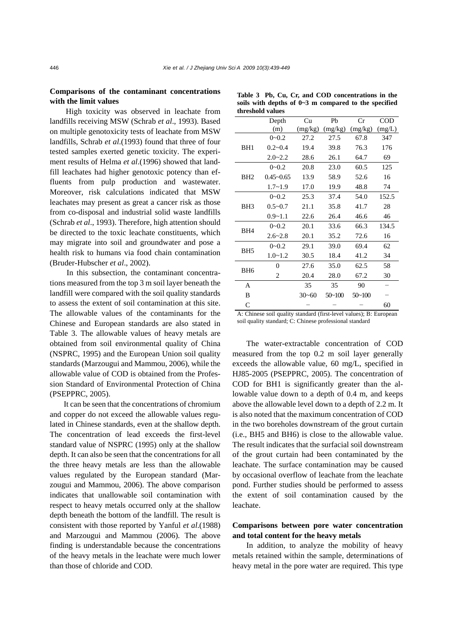## **Comparisons of the contaminant concentrations with the limit values**

High toxicity was observed in leachate from landfills receiving MSW (Schrab *et al*., 1993). Based on multiple genotoxicity tests of leachate from MSW landfills, Schrab *et al*.(1993) found that three of four tested samples exerted genetic toxicity. The experiment results of Helma *et al*.(1996) showed that landfill leachates had higher genotoxic potency than effluents from pulp production and wastewater. Moreover, risk calculations indicated that MSW leachates may present as great a cancer risk as those from co-disposal and industrial solid waste landfills (Schrab *et al*., 1993). Therefore, high attention should be directed to the toxic leachate constituents, which may migrate into soil and groundwater and pose a health risk to humans via food chain contamination (Bruder-Hubscher *et al*., 2002).

In this subsection, the contaminant concentrations measured from the top 3 m soil layer beneath the landfill were compared with the soil quality standards to assess the extent of soil contamination at this site. The allowable values of the contaminants for the Chinese and European standards are also stated in Table 3. The allowable values of heavy metals are obtained from soil environmental quality of China (NSPRC, 1995) and the European Union soil quality standards (Marzougui and Mammou, 2006), while the allowable value of COD is obtained from the Profession Standard of Environmental Protection of China (PSEPPRC, 2005).

It can be seen that the concentrations of chromium and copper do not exceed the allowable values regulated in Chinese standards, even at the shallow depth. The concentration of lead exceeds the first-level standard value of NSPRC (1995) only at the shallow depth. It can also be seen that the concentrations for all the three heavy metals are less than the allowable values regulated by the European standard (Marzougui and Mammou, 2006). The above comparison indicates that unallowable soil contamination with respect to heavy metals occurred only at the shallow depth beneath the bottom of the landfill. The result is consistent with those reported by Yanful *et al*.(1988) and Marzougui and Mammou (2006). The above finding is understandable because the concentrations of the heavy metals in the leachate were much lower than those of chloride and COD.

|                 | Depth                            | Cu                    | Pb                        | Cr                           | <b>COD</b>     |
|-----------------|----------------------------------|-----------------------|---------------------------|------------------------------|----------------|
|                 | (m)                              | (mg/kg)               | (mg/kg)                   | (mg/kg)                      | (mg/L)         |
| BH1             | $0 - 0.2$                        | 27.2                  | 27.5                      | 67.8                         | 347            |
|                 | $0.2 - 0.4$                      | 19.4                  | 39.8                      | 76.3                         | 176            |
|                 | $2.0 - 2.2$                      | 28.6                  | 26.1                      | 64.7                         | 69             |
| BH2             | $0 - 0.2$                        | 20.8                  | 23.0                      | 60.5                         | 125            |
|                 | $0.45 - 0.65$                    | 13.9                  | 58.9                      | 52.6                         | 16             |
|                 | $1.7 - 1.9$                      | 17.0                  | 19.9                      | 48.8                         | 74             |
| BH <sub>3</sub> | $0 - 0.2$                        | 25.3                  | 37.4                      | 54.0                         | 152.5          |
|                 | $0.5 - 0.7$                      | 21.1                  | 35.8                      | 41.7                         | 28             |
|                 | $0.9 - 1.1$                      | 22.6                  | 26.4                      | 46.6                         | 46             |
| BH <sub>4</sub> | $0 - 0.2$                        | 20.1                  | 33.6                      | 66.3                         | 134.5          |
|                 | $2.6 - 2.8$                      | 20.1                  | 35.2                      | 72.6                         | 16             |
| BH <sub>5</sub> | $0 - 0.2$                        | 29.1                  | 39.0                      | 69.4                         | 62             |
|                 | $1.0 - 1.2$                      | 30.5                  | 18.4                      | 41.2                         | 34             |
| BH <sub>6</sub> | $\theta$                         | 27.6                  | 35.0                      | 62.5                         | 58             |
|                 | $\overline{c}$                   | 20.4                  | 28.0                      | 67.2                         | 30             |
| A               |                                  | 35                    | 35                        | 90                           |                |
| B               |                                  | $30 - 60$             | $50 - 100$                | $50 - 100$                   |                |
| C               |                                  |                       |                           |                              | 60             |
| $\sim$ $\cdot$  | $\ddot{\phantom{0}}$<br>$\cdots$ | 1/2<br>$\blacksquare$ | $\mathbf{I}$<br>$\sim$ 1. | $\mathbf{I}$<br>$\mathbf{r}$ | $\blacksquare$ |

**Table 3 Pb, Cu, Cr, and COD concentrations in the soils with depths of 0~3 m compared to the specified threshold values** 

A: Chinese soil quality standard (first-level values); B: European soil quality standard; C: Chinese professional standard

The water-extractable concentration of COD measured from the top 0.2 m soil layer generally exceeds the allowable value, 60 mg/L, specified in HJ85-2005 (PSEPPRC, 2005). The concentration of COD for BH1 is significantly greater than the allowable value down to a depth of 0.4 m, and keeps above the allowable level down to a depth of 2.2 m. It is also noted that the maximum concentration of COD in the two boreholes downstream of the grout curtain (i.e., BH5 and BH6) is close to the allowable value. The result indicates that the surfacial soil downstream of the grout curtain had been contaminated by the leachate. The surface contamination may be caused by occasional overflow of leachate from the leachate pond. Further studies should be performed to assess the extent of soil contamination caused by the leachate.

# **Comparisons between pore water concentration and total content for the heavy metals**

In addition, to analyze the mobility of heavy metals retained within the sample, determinations of heavy metal in the pore water are required. This type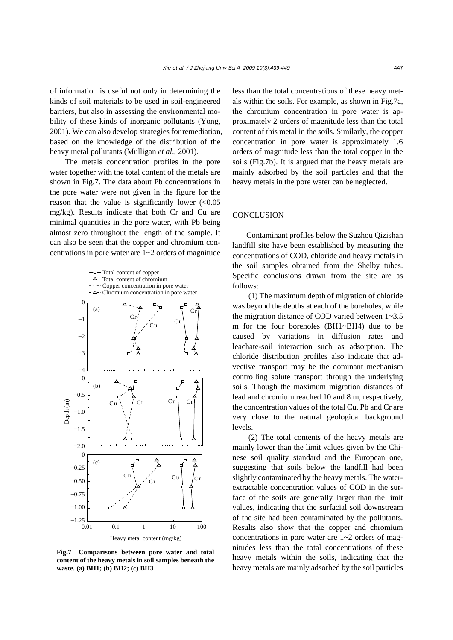of information is useful not only in determining the kinds of soil materials to be used in soil-engineered barriers, but also in assessing the environmental mobility of these kinds of inorganic pollutants (Yong, 2001). We can also develop strategies for remediation, based on the knowledge of the distribution of the heavy metal pollutants (Mulligan *et al*., 2001).

The metals concentration profiles in the pore water together with the total content of the metals are shown in Fig.7. The data about Pb concentrations in the pore water were not given in the figure for the reason that the value is significantly lower  $(<0.05$ mg/kg). Results indicate that both Cr and Cu are minimal quantities in the pore water, with Pb being almost zero throughout the length of the sample. It can also be seen that the copper and chromium concentrations in pore water are 1~2 orders of magnitude



**Fig.7 Comparisons between pore water and total content of the heavy metals in soil samples beneath the waste. (a) BH1; (b) BH2; (c) BH3** 

less than the total concentrations of these heavy metals within the soils. For example, as shown in Fig.7a, the chromium concentration in pore water is approximately 2 orders of magnitude less than the total content of this metal in the soils. Similarly, the copper concentration in pore water is approximately 1.6 orders of magnitude less than the total copper in the soils (Fig.7b). It is argued that the heavy metals are mainly adsorbed by the soil particles and that the heavy metals in the pore water can be neglected.

## **CONCLUSION**

Contaminant profiles below the Suzhou Qizishan landfill site have been established by measuring the concentrations of COD, chloride and heavy metals in the soil samples obtained from the Shelby tubes. Specific conclusions drawn from the site are as follows:

(1) The maximum depth of migration of chloride was beyond the depths at each of the boreholes, while the migration distance of COD varied between 1~3.5 m for the four boreholes (BH1~BH4) due to be caused by variations in diffusion rates and leachate-soil interaction such as adsorption. The chloride distribution profiles also indicate that advective transport may be the dominant mechanism controlling solute transport through the underlying soils. Though the maximum migration distances of lead and chromium reached 10 and 8 m, respectively, the concentration values of the total Cu, Pb and Cr are very close to the natural geological background levels.

(2) The total contents of the heavy metals are mainly lower than the limit values given by the Chinese soil quality standard and the European one, suggesting that soils below the landfill had been slightly contaminated by the heavy metals. The waterextractable concentration values of COD in the surface of the soils are generally larger than the limit values, indicating that the surfacial soil downstream of the site had been contaminated by the pollutants. Results also show that the copper and chromium concentrations in pore water are  $1 \sim 2$  orders of magnitudes less than the total concentrations of these heavy metals within the soils, indicating that the heavy metals are mainly adsorbed by the soil particles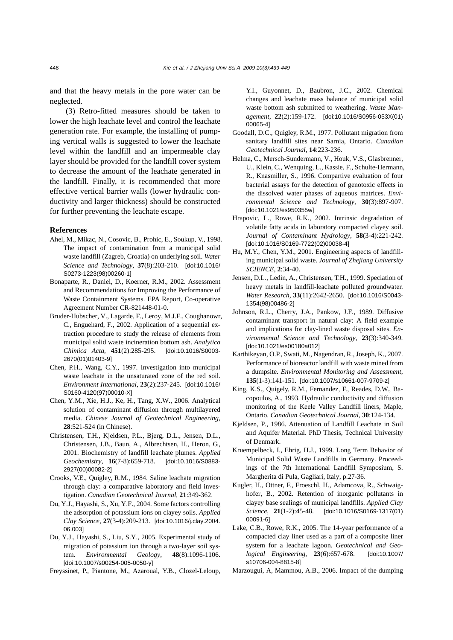and that the heavy metals in the pore water can be neglected.

(3) Retro-fitted measures should be taken to lower the high leachate level and control the leachate generation rate. For example, the installing of pumping vertical walls is suggested to lower the leachate level within the landfill and an impermeable clay layer should be provided for the landfill cover system to decrease the amount of the leachate generated in the landfill. Finally, it is recommended that more effective vertical barrier walls (lower hydraulic conductivity and larger thickness) should be constructed for further preventing the leachate escape.

#### **References**

- Ahel, M., Mikac, N., Cosovic, B., Prohic, E., Soukup, V., 1998. The impact of contamination from a municipal solid waste landfill (Zagreb, Croatia) on underlying soil. *Water Science and Technology*, **37**(8):203-210. [doi:10.1016/ S0273-1223(98)00260-1]
- Bonaparte, R., Daniel, D., Koerner, R.M., 2002. Assessment and Recommendations for Improving the Performance of Waste Containment Systems. EPA Report, Co-operative Agreement Number CR-821448-01-0.
- Bruder-Hubscher, V., Lagarde, F., Leroy, M.J.F., Coughanowr, C., Enguehard, F., 2002. Application of a sequential extraction procedure to study the release of elements from municipal solid waste incineration bottom ash. *Analytica Chimica Acta*, **451**(2):285-295. [doi:10.1016/S0003- 2670(01)01403-9]
- Chen, P.H., Wang, C.Y., 1997. Investigation into municipal waste leachate in the unsaturated zone of the red soil. *Environment International*, **23**(2):237-245. [doi:10.1016/ S0160-4120(97)00010-X]
- Chen, Y.M., Xie, H.J., Ke, H., Tang, X.W., 2006. Analytical solution of contaminant diffusion through multilayered media. *Chinese Journal of Geotechnical Engineering*, **28**:521-524 (in Chinese).
- Christensen, T.H., Kjeidsen, P.L., Bjerg, D.L., Jensen, D.L., Christensen, J.B., Baun, A., Albrechtsen, H., Heron, G., 2001. Biochemistry of landfill leachate plumes. *Applied Geochemistry*, **16**(7-8):659-718. [doi:10.1016/S0883- 2927(00)00082-2]
- Crooks, V.E., Quigley, R.M., 1984. Saline leachate migration through clay: a comparative laboratory and field investigation. *Canadian Geotechnical Journal*, **21**:349-362.
- Du, Y.J., Hayashi, S., Xu, Y.F., 2004. Some factors controlling the adsorption of potassium ions on clayey soils. *Applied Clay Science*, **27**(3-4):209-213. [doi:10.1016/j.clay.2004. 06.003]
- Du, Y.J., Hayashi, S., Liu, S.Y., 2005. Experimental study of migration of potassium ion through a two-layer soil system. *Environmental Geology*, **48**(8):1096-1106. [doi:10.1007/s00254-005-0050-y]

Freyssinet, P., Piantone, M., Azaroual, Y.B., Clozel-Leloup,

Y.I., Guyonnet, D., Baubron, J.C., 2002. Chemical changes and leachate mass balance of municipal solid waste bottom ash submitted to weathering. *Waste Management*, **22**(2):159-172. [doi:10.1016/S0956-053X(01) 00065-4]

- Goodall, D.C., Quigley, R.M., 1977. Pollutant migration from sanitary landfill sites near Sarnia, Ontario. *Canadian Geotechnical Journal*, **14**:223-236.
- Helma, C., Mersch-Sundermann, V., Houk, V.S., Glasbrenner, U., Klein, C., Wenquing, L., Kassie, F., Schulte-Hermann, R., Knasmiller, S., 1996. Compartive evaluation of four bacterial assays for the detection of genotoxic effects in the dissolved water phases of aqueous matrices. *Environmental Science and Technology*, **30**(3):897-907. [doi:10.1021/es950355w]
- Hrapovic, L., Rowe, R.K., 2002. Intrinsic degradation of volatile fatty acids in laboratory compacted clayey soil. *Journal of Contaminant Hydrology*, **58**(3-4):221-242. [doi:10.1016/S0169-7722(02)00038-4]
- Hu, M.Y., Chen, Y.M., 2001. Engineering aspects of landfilling municipal solid waste. *Journal of Zhejiang University SCIENCE*, **2**:34-40.
- Jensen, D.L., Ledin, A., Christensen, T.H., 1999. Speciation of heavy metals in landfill-leachate polluted groundwater. *Water Research*, **33**(11):2642-2650. [doi:10.1016/S0043- 1354(98)00486-2]
- Johnson, R.L., Cherry, J.A., Pankow, J.F., 1989. Diffusive contaminant transport in natural clay: A field example and implications for clay-lined waste disposal sites. *Environmental Science and Technology*, **23**(3):340-349. [doi:10.1021/es00180a012]
- Karthikeyan, O.P., Swati, M., Nagendran, R., Joseph, K., 2007. Performance of bioreactor landfill with waste mined from a dumpsite. *Environmental Monitoring and Assessment*, **135**(1-3):141-151. [doi:10.1007/s10661-007-9709-z]
- King, K.S., Quigely, R.M., Fernandez, F., Reades, D.W., Bacopoulos, A., 1993. Hydraulic conductivity and diffusion monitoring of the Keele Valley Landfill liners, Maple, Ontario. *Canadian Geotechnical Journal*, **30**:124-134.
- Kjeldsen, P., 1986. Attenuation of Landfill Leachate in Soil and Aquifer Material. PhD Thesis, Technical University of Denmark.
- Kruempelbeck, I., Ehrig, H.J., 1999. Long Term Behavior of Municipal Solid Waste Landfills in Germany. Proceedings of the 7th International Landfill Symposium, S. Margherita di Pula, Gagliari, Italy, p.27-36.
- Kugler, H., Ottner, F., Froeschl, H., Adamcova, R., Schwaighofer, B., 2002. Retention of inorganic pollutants in clayey base sealings of municipal landfills. *Applied Clay Science*, **21**(1-2):45-48. [doi:10.1016/S0169-1317(01) 00091-6]
- Lake, C.B., Rowe, R.K., 2005. The 14-year performance of a compacted clay liner used as a part of a composite liner system for a leachate lagoon. *Geotechnical and Geological Engineering*, **23**(6):657-678. [doi:10.1007/ s10706-004-8815-8]
- Marzougui, A, Mammou, A.B., 2006. Impact of the dumping